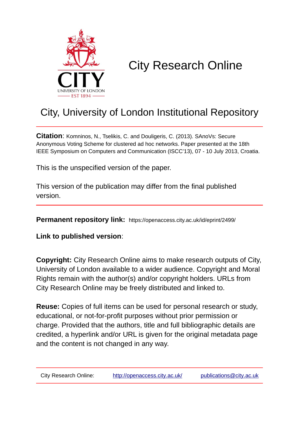

# City Research Online

# City, University of London Institutional Repository

**Citation**: Komninos, N., Tselikis, C. and Douligeris, C. (2013). SAnoVs: Secure Anonymous Voting Scheme for clustered ad hoc networks. Paper presented at the 18th IEEE Symposium on Computers and Communication (ISCC'13), 07 - 10 July 2013, Croatia.

This is the unspecified version of the paper.

This version of the publication may differ from the final published version.

**Permanent repository link:** https://openaccess.city.ac.uk/id/eprint/2499/

**Link to published version**:

**Copyright:** City Research Online aims to make research outputs of City, University of London available to a wider audience. Copyright and Moral Rights remain with the author(s) and/or copyright holders. URLs from City Research Online may be freely distributed and linked to.

**Reuse:** Copies of full items can be used for personal research or study, educational, or not-for-profit purposes without prior permission or charge. Provided that the authors, title and full bibliographic details are credited, a hyperlink and/or URL is given for the original metadata page and the content is not changed in any way.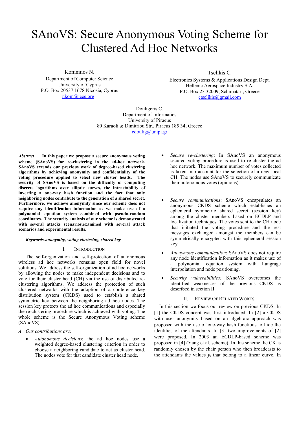# SAnoVS: Secure Anonymous Voting Scheme for Clustered Ad Hoc Networks

Komninos N.

Department of Computer Science University of Cyprus P.O. Box 20537 1678 Nicosia, Cyprus nkom@ieee.org

Tselikis C.

Electronics Systems & Applications Design Dept. Hellenic Aerospace Industry S.A. P.O. Box 23 32009, Schimatari, Greece ctselikis@gmail.com

Douligeris C. Department of Informatics University of Piraeus 80 Karaoli & Dimitriou Str., Piraeus 185 34, Greece cdoulig@unipi.gr

*Abstract*— **In this paper we propose a secure anonymous voting scheme (SAnoVS) for re-clustering in the ad-hoc network. SAnoVS extends our previous work of degree-based clustering algorithms by achieving anonymity and confidentiality of the voting procedure applied to select new cluster heads. The security of SAnoVS is based on the difficulty of computing discrete logarithms over elliptic curves, the intractability of inverting a one-way hash function and the fact that only neighboring nodes contribute to the generation of a shared secret. Furthermore, we achieve anonymity since our scheme does not require any identification information as we make use of a polynomial equation system combined with pseudo-random coordinates. The security analysis of our scheme is demonstrated with several attacks scenarios.examined with several attack scenarios and experimental results.** 

## *Keywords-anonymity, voting clustering, shared key*

## I. INTRODUCTION

The self-organization and self-protection of autonomous wireless ad hoc networks remains open field for novel solutions. We address the self-organization of ad hoc networks by allowing the nodes to make independent decisions and to vote for their cluster head (CH) via the use of distributed reclustering algorithms. We address the protection of such clustered networks with the adoption of a conference key distribution system (CKDS) used to establish a shared symmetric key between the neighboring ad hoc nodes. The session key protects the ad hoc communications and especially the re-clustering procedure which is achieved with voting. The whole scheme is the Secure Anonymous Voting scheme (SAnoVS).

- *A. Our contributions are:* 
	- *Autonomous decisions*: the ad hoc nodes use a weighted degree-based clustering criterion in order to choose a neighboring candidate to act as cluster head. The nodes vote for that candidate cluster head node.
- *Secure re-clustering*: In SAnoVS an anonymous secured voting procedure is used to re-cluster the ad hoc network. The maximum number of votes collected is taken into account for the selection of a new local CH. The nodes use SAnoVS to securely communicate their autonomous votes (opinions).
- *Secure communications*: SAnoVS encapsulates an anonymous CKDS scheme which establishes an ephemeral symmetric shared secret (session key) among the cluster members based on ECDLP and localization techniques. The votes sent to the CH node that initiated the voting procedure and the rest messages exchanged amongst the members can be symmetrically encrypted with this ephemeral session key.
- *Anonymous communication*: SAnoVS does not require any node identification information as it makes use of a polynomial equation system with Langrage interpolation and node positioning.
- *Security vulnerabilities:* SAnoVS overcomes the identified weaknesses of the previous CKDS as described in section II.

# II. REVIEW OF RELATED WORKS

In this section we focus our review on previous CKDS. In [1] the CKDS concept was first introduced. In [2] a CKDS with user anonymity based on an algebraic approach was proposed with the use of one-way hash functions to hide the identities of the attendants. In [3] two improvements of [2] were proposed. In 2003 an ECDLP-based scheme was proposed in [4] (Yang et al. scheme). In this scheme the CK is randomly chosen by the chair person who then broadcasts to the attendants the values  $y_i$  that belong to a linear curve. In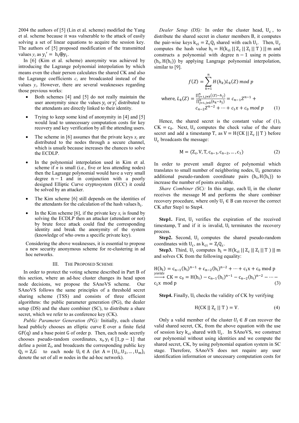2004 the authors of [5] (Lin et al. scheme) modified the Yang et al. scheme because it was vulnerable to the attack of easily solving a set of linear equations to acquire the session key. The authors of [5] proposed modification of the transmitted values  $y_i$  as  $y_i' = h_i \oplus y_i$ .

In [6] (Kim et al. scheme) anonymity was achieved by introducing the Lagrange polynomial interpolation by which means even the chair person calculates the shared CK and also the Lagrange coefficients  $c_i$  are broadcasted instead of the values  $y_i$ . However, there are several weaknesses regarding those previous works:

- Both schemes [4] and [5] do not really maintain the user anonymity since the values  $y_i$  or  $y'_i$  distributed to the attendants are directly linked to their identity.
- Trying to keep some kind of anonymity in [4] and [5] would lead to unnecessary computation costs for key recovery and key verification by all the attending users.
- The scheme in [6] assumes that the private keys  $x_i$  are distributed to the nodes through a secure channel. which is unsafe because increases the chances to solve the ECDLP.
- In the polynomial interpolation used in Kim et al. scheme if *n* is small (i.e., five or less attending nodes) then the Lagrange polynomial would have a very small degree  $n - 1$  and in conjunction with a poorly designed Elliptic Curve cryptosystem (ECC) it could be solved by an attacker.
- The Kim scheme [6] still depends on the identities of the attendants for the calculation of the hash values  $h_i$ .
- In the Kim scheme [6], if the private key  $x_i$  is found by solving the ECDLP then an attacker (attendant or not) by brute force attack could find the corresponding identity and break the anonymity of the system (knowledge of who owns a specific private key).

Considering the above weaknesses, it is essential to propose a new security anonymous scheme for re-clustering in ad hoc networks.

#### III. THE PROPOSED SCHEME

In order to protect the voting scheme described in Part B of this section, where an ad-hoc cluster changes its head upon node decisions, we propose the SAnoVS scheme. Our SAnoVS follows the same principles of a threshold secret sharing scheme (TSS) and consists of three efficient algorithms: the public parameter generation (PG), the dealer setup (DS) and the share combiner (SC), to distribute a share secret, which we refer to as conference key (CK).

*Public Parameter Generation (PG):* Initially, each cluster head publicly chooses an elliptic curve E over a finite field  $GF(q)$  and a base point G of order p. Then, each node secretly chooses pseudo-random coordinates,  $x_i, y_i \in [1, p-1]$  that define a point  $Z_i$ , and broadcasts the corresponding public key  $Q_i = Z_i G$  to each node  $U_i \in A$  (let  $A = \{U_1, U_2, ..., U_m\}_i$ denote the set of all *m* nodes in the ad-hoc network).

*Dealer Setup (DS)*: In order the cluster head,  $U_c$ , to distribute the shared secret in cluster members B, it computes the pair-wise keys  $k_{ci} = Z_c Q_i$  shared with each  $U_i$ . Then,  $U_c$ computes the hash value  $h_i = H(k_{ci} || Z_c || Z_i || T) || m$  and constructs a polynomial with degree  $n - 1$  using  $n$  points  $(h_i, H(h_i))$  by applying Langrage polynomial interpolation, similar to [9].

$$
f(Z) = \sum_{k=1}^{n} H(h_k)L_k(Z) \text{ mod } p
$$
  
where,  $L_k(Z) = \frac{\prod_{j=1,j\neq k}^{n} ((Z) - h_j)}{\prod_{j=1,j\neq k}^{n} (h_k - h_j)} = c_{n-1}Z^{n-1} + c_{n-2}Z^{n-2} + \dots + c_1x + c_0 \text{ mod } p$  (1)

Hence, the shared secret is the constant value of (1),  $CK = c_0$ . Next,  $U_c$  computes the check value of the share secret and add a timestamp T, as  $V = H(CK || Z_c || T)$  before  $U_c$  broadcasts the message:

$$
M = (Z_c, V, T, c_{n-1}, c_{n-2}, ..., c_1)
$$
 (2)

In order to prevent small degree of polynomial which translates to small number of neighboring nodes,  $U_c$  generates additional pseudo-random coordinate pairs  $(h_i, H(h_i))$  to increase the number of points available.

*Share Combiner (SC)*: In this stage, each  $U_i$  in the cluster receives the message M and performs the share combiner recovery procedure, where only  $U_i \in B$  can recover the correct CK after Step1 to Step4.

**Step1.** First,  $U_i$  verifies the expiration of the received timestamp,  $T$  and if it is invalid,  $U_i$  terminates the recovery process.

**Step2.** Second,  $U_i$  computes the shared pseudo-random coordinates with  $U_c$ , as  $k_{ci} = Z_i Q_c$ .

**Step3.** Third,  $U_i$  computes  $h_i = H(k_{ci} || Z_c || Z_i || T) || m$ and solves CK from the following equality:

$$
H(h_i) = c_{n-1}(h_i)^{n-1} + c_{n-2}(h_i)^{n-2} + \dots + c_1x + c_0 \mod p
$$
  
\n*yields*  
\n
$$
CK = c_0 = H(h_i) - c_{n-1}(h_i)^{n-1} - c_{n-2}(h_i)^{n-2} - \dots - c_1x \mod p
$$
  
\n(3)

**Step4.** Finally,  $U_i$  checks the validity of CK by verifying

$$
H(CK || Zc || T) = V.
$$
 (4)

Only a valid member of the cluster  $U_i \in B$  can recover the valid shared secret, CK, from the above equation with the use of session key  $k_{ci}$  shared with  $U_c$ . In SAnoVS, we construct our polynomial without using identities and we compute the shared secret, CK, by using polynomial equation system in SC stage. Therefore, SAnoVS does not require any user identification information or unecessary computation costs for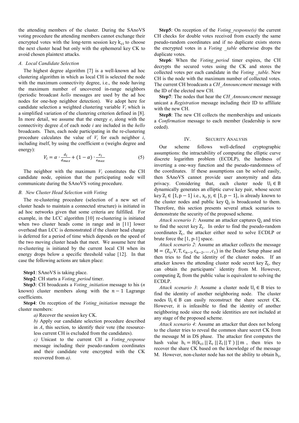the attending members of the cluster. During the SAnoVS voting procedure the attending members cannot exchange their encrypted votes with the long-term session key  $k_{ci}$  to choose the next cluster head but only with the ephemeral key CK to avoid chosen plaintext attacks.

# *A. Local Candidate Selection*

The highest degree algorithm [7] is a well-known ad hoc clustering algorithm in which as local CH is selected the node with the maximum connectivity degree, i.e., the node having the maximum number of uncovered in-range neighbors (periodic broadcast *hello* messages are used by the ad hoc nodes for one-hop neighbor detection). We adopt here for candidate selection a weighted clustering variable  $V_i$  which is a simplified variation of the clustering criterion defined in [8]. In more detail, we assume that the energy  $e_i$  along with the connectivity degree *d<sup>i</sup>* of each node *i* are included in the *hello* broadcasts. Then, each node participating in the re-clustering procedure calculates the value of  $V_i$  for each neighbor  $i$ , including itself, by using the coefficient  $\alpha$  (weighs degree and energy):

$$
V_i = \alpha \cdot \frac{d_i}{d_{max}} + (1 - \alpha) \cdot \frac{e_i}{e_{max}} \tag{5}
$$

The neighbor with the maximum  $V_i$  constitutes the CH candidate node, opinion that the participating node will communicate during the SAnoVS voting procedure.

#### *B. New Cluster Head Selection with Voting*

The re-clustering procedure (selection of a new set of cluster heads to maintain a connected structure) is initiated in ad hoc networks given that some criteria are fulfilled. For example, in the LCC algorithm [10] re-clustering is initiated when two cluster heads come in range and in [11] lower overhead than LCC is demonstrated if the cluster head change is deferred for a period of time which depends on the speed of the two moving cluster heads that meet. We assume here that re-clustering is initiated by the current local CH when its energy drops below a specific threshold value [12]. In that case the following actions are taken place:

**Step1**: SAnoVS is taking place.

**Step2**: CH starts a *Voting\_period* timer.

**Step3**: CH broadcasts a *Voting\_initiation* message to his (*n*  known) cluster members along with the  $n - 1$  Lagrange coefficients.

**Step4**: On reception of the *Voting\_initiation* message the cluster members:

*a)* Recover the session key CK.

*b)* Apply our candidate selection procedure described in *A*, this section, to identify their vote (the resourceless current CH is excluded from the candidates).

*c)* Unicast to the current CH a *Voting\_response* message including their pseudo-random coordinates and their candidate vote encrypted with the CK recovered from *a)*.

**Step5**: On reception of the *Voting\_response(s)* the current CH checks for double votes received from exactly the same pseudo-random coordinates and if no duplicate exists stores the encrypted votes in a *Voting \_table* otherwise drops the duplicate votes.

**Step6**: When the *Voting\_period* timer expires, the CH decrypts the secured votes using the CK and stores the collected votes per each candidate in the *Voting \_table*. New CH is the node with the maximum number of collected votes. The current CH broadcasts a *CH\_Announcement* message with the ID of the elected new CH.

**Step7**: The nodes that hear the *CH\_Announcement* message unicast a *Registration* message including their ID to affiliate with the new CH.

**Step8**: The new CH collects the memberships and unicasts a *Confirmation* message to each member (leadership is now ceded).

### IV. SECURITY ANALYSIS

Our scheme follows well-defined cryptographic assumptions: the intractability of computing the elliptic curve discrete logarithm problem (ECDLP), the hardness of inverting a one-way function and the pseudo-randomness of the coordinates. If these assumptions can be solved easily, then SAnoVS cannot provide user anonymity and data privacy. Considering that, each cluster node  $U_i \in B$ dynamically generates an elliptic curve key pair, whose secret key  $Z_i$  ∈ [1, p − 1] i.e.,  $x_i$ ,  $y_i$  ∈ [1, p − 1], is already known to the cluster nodes and public key  $Q_i$  is broadcasted to them. Therefore, this section presents several attack scenarios to demonstrate the security of the proposed scheme.

Attack scenario 1: Assume an attacker captures  $Q_i$  and tries to find the secret key  $Z_i$ . In order to find the pseudo-random coordinates  $Z_i$ , the attacker either need to solve ECDLP or brute force the [1, p-1] space.

*Attack scenario 2*: Assume an attacker collects the message  $M = (Z_c, V, T, c_{n-1}, c_{n-2}, ..., c_1)$  in the Dealer Setup phase and then tries to find the identity of the cluster nodes. If an attacker knows the attending cluster node secret key  $Z_i$ , they can obtain the participants' identity from M. However, computing  $Z_i$  from the public value is equivalent to solving the ECDLP.

*Attack scenario 3*: Assume a cluster node  $U_i \in B$  tries to find the identity of another neighboring node. The cluster nodes  $U_i \in B$  can easily reconstruct the share secret CK. However, it is infeasible to find the identity of another neighboring node since the node identities are not included at any stage of the proposed scheme.

*Attack scenario 4*: Assume an attacker that does not belong to the cluster tries to reveal the common share secret CK from the message M in DS phase. The attacker first computes the hash value  $h_i = H(k_{ci} || Z_c || Z_i || T) || m$ , then tries to recover the share CK based on the knowledge of the message M. However, non-cluster node has not the ability to obtain  $h_i$ ,